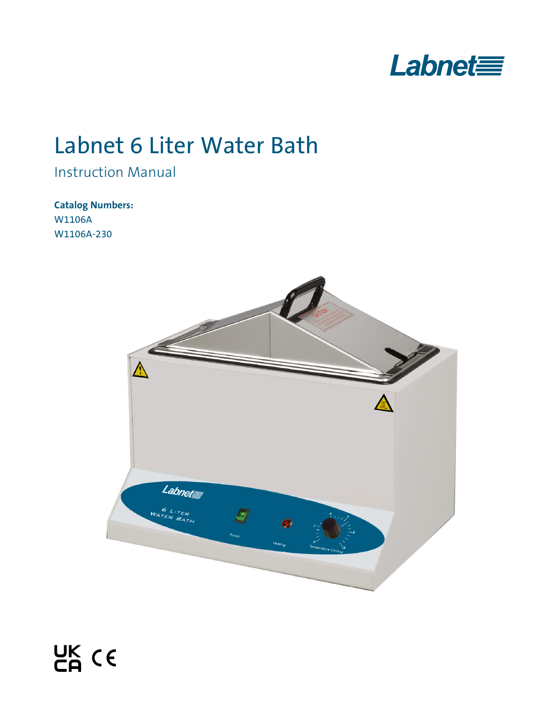

# Labnet 6 Liter Water Bath

Instruction Manual

**Catalog Numbers:**  W1106A W1106A-230

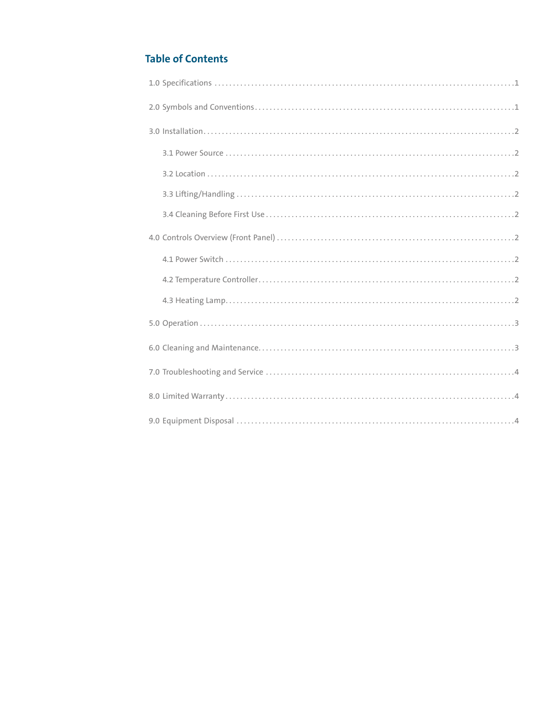## **Table of Contents**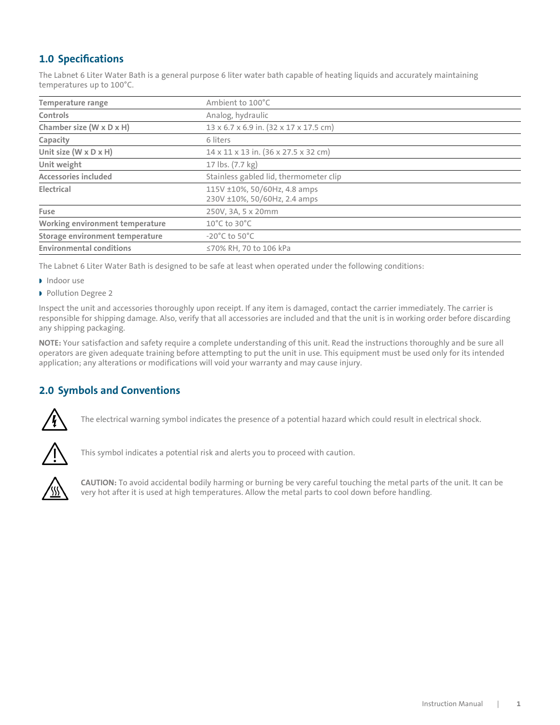## <span id="page-2-0"></span> **1.0 Specifications**

The Labnet 6 Liter Water Bath is a general purpose 6 liter water bath capable of heating liquids and accurately maintaining temperatures up to 100°C.

| <b>Temperature range</b>            | Ambient to 100°C                                             |  |
|-------------------------------------|--------------------------------------------------------------|--|
| Controls                            | Analog, hydraulic                                            |  |
| Chamber size (W x D x H)            | 13 x 6.7 x 6.9 in. (32 x 17 x 17.5 cm)                       |  |
| Capacity                            | 6 liters                                                     |  |
| Unit size ( $W \times D \times H$ ) | 14 x 11 x 13 in. (36 x 27.5 x 32 cm)                         |  |
| Unit weight                         | 17 lbs. (7.7 kg)                                             |  |
| <b>Accessories included</b>         | Stainless gabled lid, thermometer clip                       |  |
| Electrical                          | 115V ±10%, 50/60Hz, 4.8 amps<br>230V ±10%, 50/60Hz, 2.4 amps |  |
| Fuse                                | 250V, 3A, 5 x 20mm                                           |  |
| Working environment temperature     | $10^{\circ}$ C to 30 $^{\circ}$ C                            |  |
| Storage environment temperature     | $-20^{\circ}$ C to 50 $^{\circ}$ C                           |  |
| <b>Environmental conditions</b>     | ≤70% RH, 70 to 106 kPa                                       |  |

The Labnet 6 Liter Water Bath is designed to be safe at least when operated under the following conditions:

- Indoor use
- **Pollution Degree 2**

Inspect the unit and accessories thoroughly upon receipt. If any item is damaged, contact the carrier immediately. The carrier is responsible for shipping damage. Also, verify that all accessories are included and that the unit is in working order before discarding any shipping packaging.

**NOTE:** Your satisfaction and safety require a complete understanding of this unit. Read the instructions thoroughly and be sure all operators are given adequate training before attempting to put the unit in use. This equipment must be used only for its intended application; any alterations or modifications will void your warranty and may cause injury.

## **2.0 Symbols and Conventions**



The electrical warning symbol indicates the presence of a potential hazard which could result in electrical shock.



This symbol indicates a potential risk and alerts you to proceed with caution.



**CAUTION:** To avoid accidental bodily harming or burning be very careful touching the metal parts of the unit. It can be very hot after it is used at high temperatures. Allow the metal parts to cool down before handling.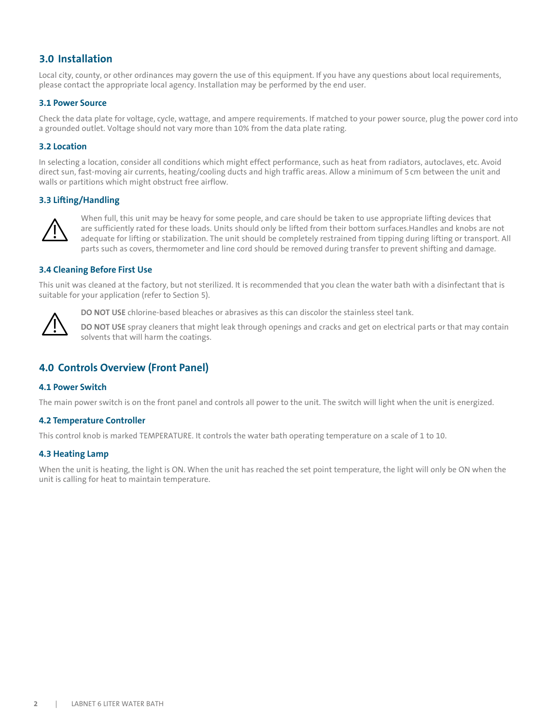## <span id="page-3-0"></span>**3.0 Installation**

Local city, county, or other ordinances may govern the use of this equipment. If you have any questions about local requirements, please contact the appropriate local agency. Installation may be performed by the end user.

#### **3.1 Power Source**

Check the data plate for voltage, cycle, wattage, and ampere requirements. If matched to your power source, plug the power cord into a grounded outlet. Voltage should not vary more than 10% from the data plate rating.

#### **3.2 Location**

In selecting a location, consider all conditions which might effect performance, such as heat from radiators, autoclaves, etc. Avoid direct sun, fast-moving air currents, heating/cooling ducts and high traffic areas. Allow a minimum of 5cm between the unit and walls or partitions which might obstruct free airflow.

#### **3.3 Lifting/Handling**



When full, this unit may be heavy for some people, and care should be taken to use appropriate lifting devices that are sufficiently rated for these loads. Units should only be lifted from their bottom surfaces.Handles and knobs are not adequate for lifting or stabilization. The unit should be completely restrained from tipping during lifting or transport. All parts such as covers, thermometer and line cord should be removed during transfer to prevent shifting and damage.

#### **3.4 Cleaning Before First Use**

This unit was cleaned at the factory, but not sterilized. It is recommended that you clean the water bath with a disinfectant that is suitable for your application (refer to Section 5).



**DO NOT USE** chlorine-based bleaches or abrasives as this can discolor the stainless steel tank.

**DO NOT USE** spray cleaners that might leak through openings and cracks and get on electrical parts or that may contain solvents that will harm the coatings.

## **4.0 Controls Overview (Front Panel)**

#### **4.1 Power Switch**

The main power switch is on the front panel and controls all power to the unit. The switch will light when the unit is energized.

#### **4.2 Temperature Controller**

This control knob is marked TEMPERATURE. It controls the water bath operating temperature on a scale of 1 to 10.

#### **4.3 Heating Lamp**

When the unit is heating, the light is ON. When the unit has reached the set point temperature, the light will only be ON when the unit is calling for heat to maintain temperature.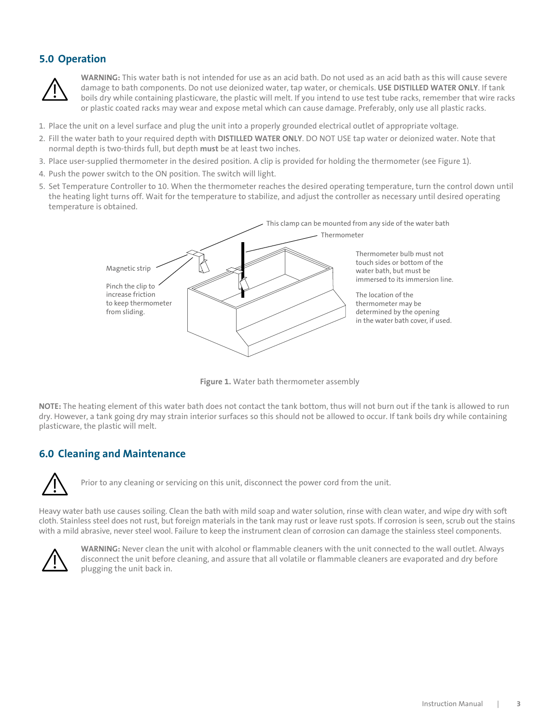## <span id="page-4-0"></span>**5.0 Operation**



**WARNING:** This water bath is not intended for use as an acid bath. Do not used as an acid bath as this will cause severe damage to bath components. Do not use deionized water, tap water, or chemicals. **USE DISTILLED WATER ONLY**. If tank boils dry while containing plasticware, the plastic will melt. If you intend to use test tube racks, remember that wire racks or plastic coated racks may wear and expose metal which can cause damage. Preferably, only use all plastic racks.

- 1. Place the unit on a level surface and plug the unit into a properly grounded electrical outlet of appropriate voltage.
- 2. Fill the water bath to your required depth with **DISTILLED WATER ONLY**. DO NOT USE tap water or deionized water. Note that normal depth is two-thirds full, but depth **must** be at least two inches.
- 3. Place user-supplied thermometer in the desired position. A clip is provided for holding the thermometer (see Figure 1).
- 4. Push the power switch to the ON position. The switch will light.
- 5. Set Temperature Controller to 10. When the thermometer reaches the desired operating temperature, turn the control down until the heating light turns off. Wait for the temperature to stabilize, and adjust the controller as necessary until desired operating temperature is obtained.



**Figure 1.** Water bath thermometer assembly

**NOTE:** The heating element of this water bath does not contact the tank bottom, thus will not burn out if the tank is allowed to run dry. However, a tank going dry may strain interior surfaces so this should not be allowed to occur. If tank boils dry while containing plasticware, the plastic will melt.

### **6.0 Cleaning and Maintenance**



Prior to any cleaning or servicing on this unit, disconnect the power cord from the unit.

Heavy water bath use causes soiling. Clean the bath with mild soap and water solution, rinse with clean water, and wipe dry with soft cloth. Stainless steel does not rust, but foreign materials in the tank may rust or leave rust spots. If corrosion is seen, scrub out the stains with a mild abrasive, never steel wool. Failure to keep the instrument clean of corrosion can damage the stainless steel components.



**WARNING:** Never clean the unit with alcohol or flammable cleaners with the unit connected to the wall outlet. Always disconnect the unit before cleaning, and assure that all volatile or flammable cleaners are evaporated and dry before plugging the unit back in.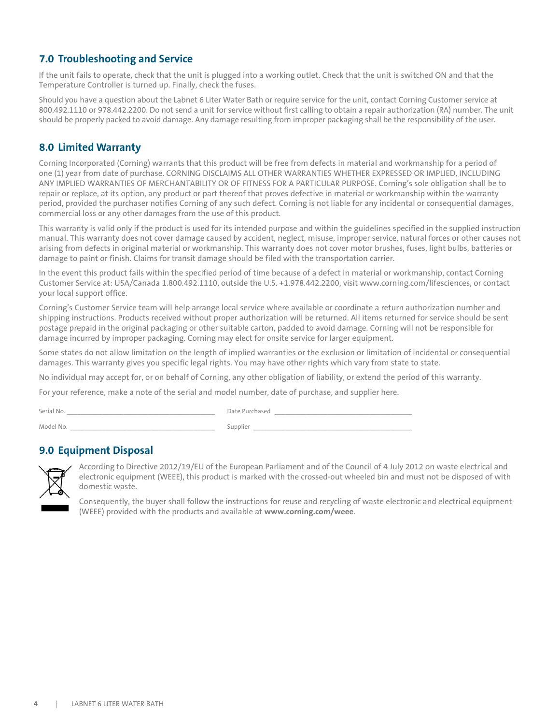## <span id="page-5-0"></span>**7.0 Troubleshooting and Service**

If the unit fails to operate, check that the unit is plugged into a working outlet. Check that the unit is switched ON and that the Temperature Controller is turned up. Finally, check the fuses.

Should you have a question about the Labnet 6 Liter Water Bath or require service for the unit, contact Corning Customer service at 800.492.1110 or 978.442.2200. Do not send a unit for service without first calling to obtain a repair authorization (RA) number. The unit should be properly packed to avoid damage. Any damage resulting from improper packaging shall be the responsibility of the user.

## **8.0 Limited Warranty**

Corning Incorporated (Corning) warrants that this product will be free from defects in material and workmanship for a period of one (1) year from date of purchase. CORNING DISCLAIMS ALL OTHER WARRANTIES WHETHER EXPRESSED OR IMPLIED, INCLUDING ANY IMPLIED WARRANTIES OF MERCHANTABILITY OR OF FITNESS FOR A PARTICULAR PURPOSE. Corning's sole obligation shall be to repair or replace, at its option, any product or part thereof that proves defective in material or workmanship within the warranty period, provided the purchaser notifies Corning of any such defect. Corning is not liable for any incidental or consequential damages, commercial loss or any other damages from the use of this product.

This warranty is valid only if the product is used for its intended purpose and within the guidelines specified in the supplied instruction manual. This warranty does not cover damage caused by accident, neglect, misuse, improper service, natural forces or other causes not arising from defects in original material or workmanship. This warranty does not cover motor brushes, fuses, light bulbs, batteries or damage to paint or finish. Claims for transit damage should be filed with the transportation carrier.

In the event this product fails within the specified period of time because of a defect in material or workmanship, contact Corning Customer Service at: USA/Canada 1.800.492.1110, outside the U.S. +1.978.442.2200, visit www.corning.com/lifesciences, or contact your local support office.

Corning's Customer Service team will help arrange local service where available or coordinate a return authorization number and shipping instructions. Products received without proper authorization will be returned. All items returned for service should be sent postage prepaid in the original packaging or other suitable carton, padded to avoid damage. Corning will not be responsible for damage incurred by improper packaging. Corning may elect for onsite service for larger equipment.

Some states do not allow limitation on the length of implied warranties or the exclusion or limitation of incidental or consequential damages. This warranty gives you specific legal rights. You may have other rights which vary from state to state.

No individual may accept for, or on behalf of Corning, any other obligation of liability, or extend the period of this warranty.

For your reference, make a note of the serial and model number, date of purchase, and supplier here.

| Serial No. | Date Purchased |
|------------|----------------|
| Model No.  | Supplier       |

## **9.0 Equipment Disposal**



According to Directive 2012/19/EU of the European Parliament and of the Council of 4 July 2012 on waste electrical and electronic equipment (WEEE), this product is marked with the crossed-out wheeled bin and must not be disposed of with domestic waste.

Consequently, the buyer shall follow the instructions for reuse and recycling of waste electronic and electrical equipment (WEEE) provided with the products and available at **www.corning.com/weee**.